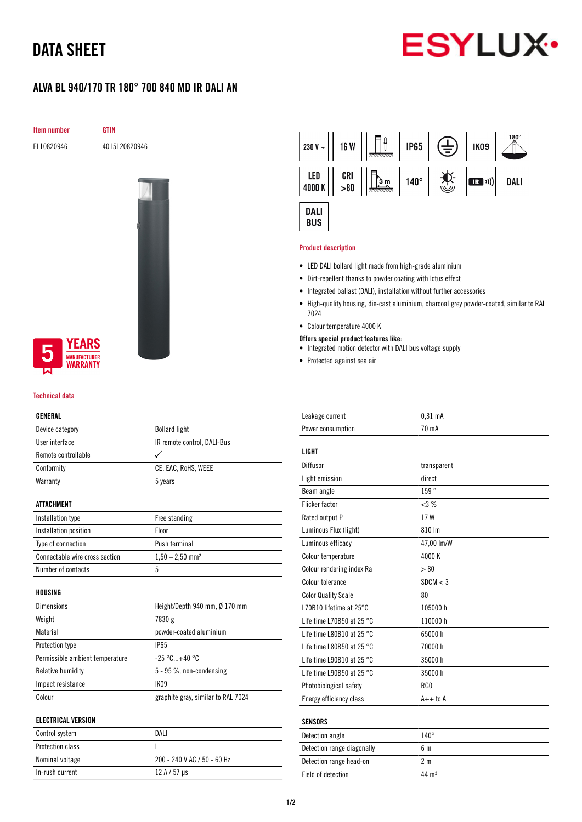# DATA SHEET



# ALVA BL 940/170 TR 180° 700 840 MD IR DALI AN

Item number GTIN

EL10820946 4015120820946



# **YEARS IUFACTURER** *NARRANTY*

### Technical data

## GENERAL

| Device category                 | <b>Bollard light</b>               |
|---------------------------------|------------------------------------|
| User interface                  | IR remote control, DALI-Bus        |
| Remote controllable             |                                    |
| Conformity                      | CE, EAC, RoHS, WEEE                |
| Warranty                        | 5 years                            |
|                                 |                                    |
| <b>ATTACHMENT</b>               |                                    |
| Installation type               | Free standing                      |
| Installation position           | Floor                              |
| Type of connection              | Push terminal                      |
| Connectable wire cross section  | $1,50 - 2,50$ mm <sup>2</sup>      |
| Number of contacts              | 5                                  |
|                                 |                                    |
| HOUSING                         |                                    |
| <b>Dimensions</b>               | Height/Depth 940 mm, Ø 170 mm      |
| Weight                          | 7830 g                             |
| Material                        | powder-coated aluminium            |
| Protection type                 | <b>IP65</b>                        |
| Permissible ambient temperature | $-25 °C+40 °C$                     |
| Relative humidity               | 5 - 95 %, non-condensing           |
| Impact resistance               | IK09                               |
| Colour                          | graphite gray, similar to RAL 7024 |
|                                 |                                    |
| <b>ELECTRICAL VERSION</b>       |                                    |
| Control system                  | DALI                               |
| <b>Protection class</b>         | I                                  |

Nominal voltage 200 - 240 V AC / 50 - 60 Hz

In-rush current  $12 A / 57 \mu s$ 



#### Product description

- LED DALI bollard light made from high-grade aluminium
- Dirt-repellent thanks to powder coating with lotus effect
- Integrated ballast (DALI), installation without further accessories
- High-quality housing, die-cast aluminium, charcoal grey powder-coated, similar to RAL 7024
- Colour temperature 4000 K
- Offers special product features like:
- Integrated motion detector with DALI bus voltage supply
- Protected against sea air

| Leakage current                     | $0,31$ mA      |
|-------------------------------------|----------------|
| Power consumption                   | 70 mA          |
|                                     |                |
| <b>LIGHT</b>                        |                |
| Diffusor                            | transparent    |
| Light emission                      | direct         |
| Beam angle                          | 159°           |
| <b>Flicker factor</b>               | <3%            |
| Rated output P                      | 17W            |
| Luminous Flux (light)               | 810 lm         |
| Luminous efficacy                   | 47,00 lm/W     |
| Colour temperature                  | 4000 K         |
| Colour rendering index Ra           | > 80           |
| Colour tolerance                    | SDCM < 3       |
| <b>Color Quality Scale</b>          | 80             |
| L70B10 lifetime at 25°C             | 105000h        |
| Life time L70B50 at 25 $^{\circ}$ C | 110000 h       |
| Life time L80B10 at 25 $^{\circ}$ C | 65000 h        |
| Life time L80B50 at 25 $^{\circ}$ C | 70000 h        |
| Life time L90B10 at 25 °C           | 35000h         |
| Life time L90B50 at 25 $^{\circ}$ C | 35000 h        |
| Photobiological safety              | RG0            |
| Energy efficiency class             | $A++$ to $A$   |
|                                     |                |
| <b>SENSORS</b>                      |                |
| Detection angle                     | $140^\circ$    |
| Detection range diagonally          | 6 <sub>m</sub> |
| Detection range head-on             | 2 <sub>m</sub> |

Field of detection 44 m<sup>2</sup>